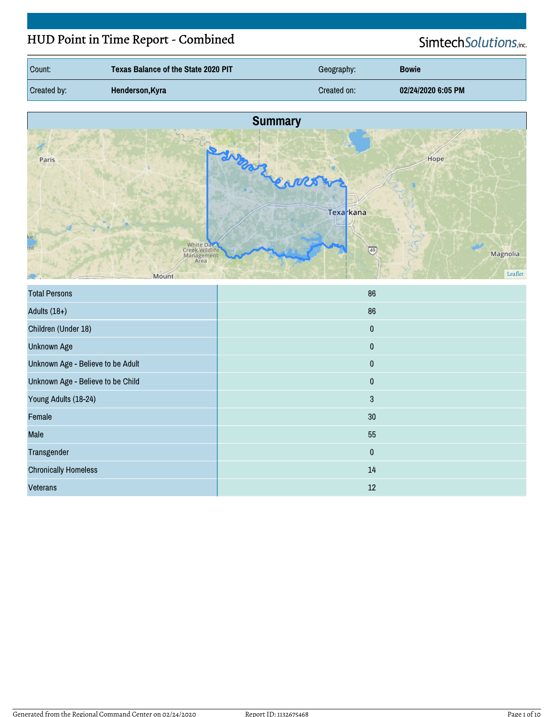# HUD Point in Time Report - Combined

# SimtechSolutions,inc.

| Count:      | <b>Texas Balance of the State 2020 PIT</b> | Geography:  | <b>Bowie</b>       |
|-------------|--------------------------------------------|-------------|--------------------|
| Created by: | Henderson, Kyra                            | Created on: | 02/24/2020 6:05 PM |



| <b>Total Persons</b>              | 86        |
|-----------------------------------|-----------|
| Adults $(18+)$                    | 86        |
| Children (Under 18)               | $\pmb{0}$ |
| <b>Unknown Age</b>                | $\pmb{0}$ |
| Unknown Age - Believe to be Adult | $\pmb{0}$ |
| Unknown Age - Believe to be Child | $\pmb{0}$ |
| Young Adults (18-24)              | 3         |
| Female                            | 30        |
| Male                              | 55        |
| Transgender                       | $\pmb{0}$ |
| <b>Chronically Homeless</b>       | 14        |
| <b>Veterans</b>                   | 12        |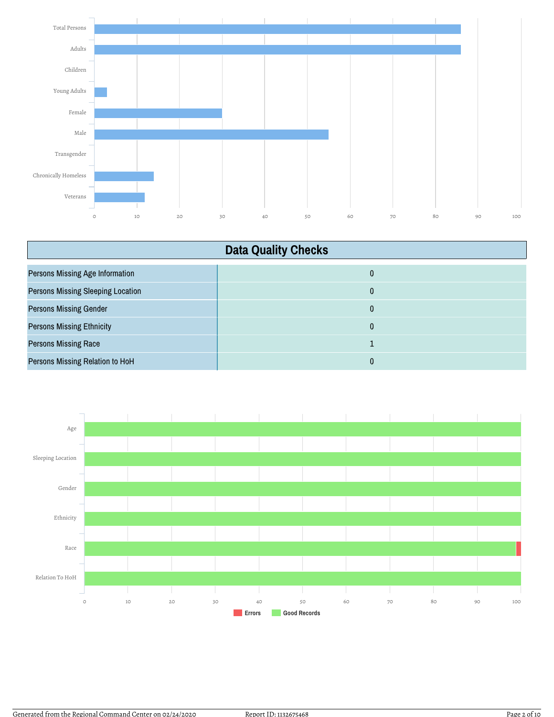

| <b>Data Quality Checks</b>               |   |
|------------------------------------------|---|
| <b>Persons Missing Age Information</b>   | 0 |
| <b>Persons Missing Sleeping Location</b> | 0 |
| <b>Persons Missing Gender</b>            | 0 |
| <b>Persons Missing Ethnicity</b>         | 0 |
| <b>Persons Missing Race</b>              |   |
| Persons Missing Relation to HoH          | 0 |

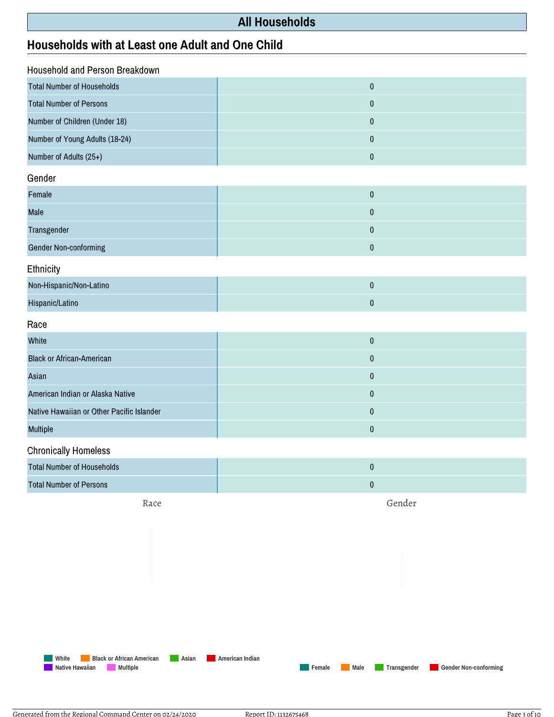## **All Households**

## **Households with at Least one Adult and One Child**

| Household and Person Breakdown            |           |  |
|-------------------------------------------|-----------|--|
| <b>Total Number of Households</b>         | $\pmb{0}$ |  |
| <b>Total Number of Persons</b>            | $\pmb{0}$ |  |
| Number of Children (Under 18)             | $\pmb{0}$ |  |
| Number of Young Adults (18-24)            | $\pmb{0}$ |  |
| Number of Adults (25+)                    | $\pmb{0}$ |  |
| Gender                                    |           |  |
| Female                                    | $\pmb{0}$ |  |
| Male                                      | $\pmb{0}$ |  |
| Transgender                               | $\pmb{0}$ |  |
| <b>Gender Non-conforming</b>              | $\pmb{0}$ |  |
| Ethnicity                                 |           |  |
| Non-Hispanic/Non-Latino                   | $\pmb{0}$ |  |
| Hispanic/Latino                           | $\pmb{0}$ |  |
| Race                                      |           |  |
| White                                     | $\pmb{0}$ |  |
| <b>Black or African-American</b>          | $\pmb{0}$ |  |
| Asian                                     | $\pmb{0}$ |  |
| American Indian or Alaska Native          | $\pmb{0}$ |  |
| Native Hawaiian or Other Pacific Islander | $\pmb{0}$ |  |
| Multiple                                  | $\pmb{0}$ |  |
| <b>Chronically Homeless</b>               |           |  |
| <b>Total Number of Households</b>         | $\pmb{0}$ |  |

| Total Number of Households     |  |
|--------------------------------|--|
| <b>Total Number of Persons</b> |  |
|                                |  |

Race

Gender

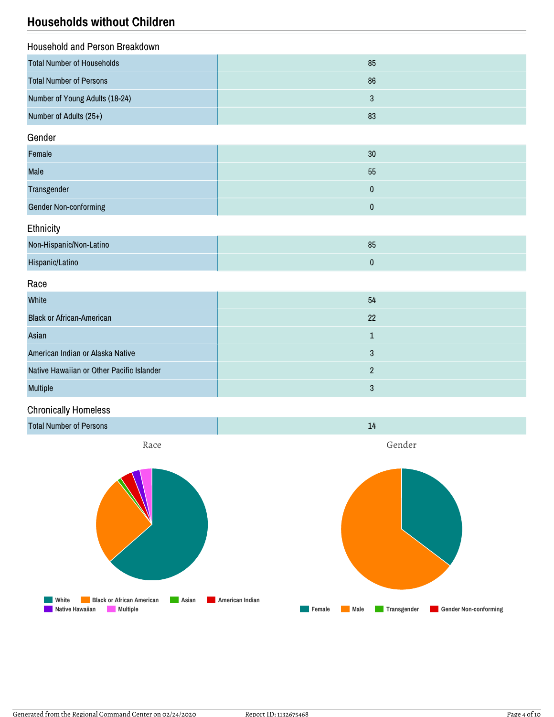## **Households without Children**

| <b>Household and Person Breakdown</b> |    |
|---------------------------------------|----|
| <b>Total Number of Households</b>     | 85 |
| <b>Total Number of Persons</b>        | 86 |
| Number of Young Adults (18-24)        |    |
| Number of Adults (25+)                | 83 |

#### Gender

| Female                       | 30 |
|------------------------------|----|
| <b>Male</b>                  | 55 |
| Transgender                  |    |
| <b>Gender Non-conforming</b> |    |

#### **Ethnicity**

| Non-Hispanic/Non-Latino | 85 |
|-------------------------|----|
| Hispanic/Latino         |    |

#### Race

| White                                     | 54 |
|-------------------------------------------|----|
| <b>Black or African-American</b>          | 22 |
| Asian                                     |    |
| American Indian or Alaska Native          |    |
| Native Hawaiian or Other Pacific Islander |    |
| <b>Multiple</b>                           | 3  |

### Chronically Homeless

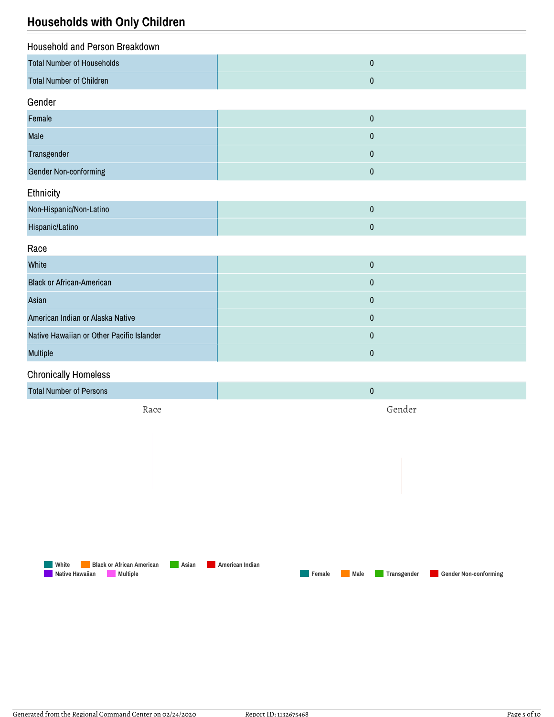## **Households with Only Children**

| Household and Person Breakdown            |           |
|-------------------------------------------|-----------|
| <b>Total Number of Households</b>         | $\pmb{0}$ |
| <b>Total Number of Children</b>           | $\pmb{0}$ |
| Gender                                    |           |
| Female                                    | $\pmb{0}$ |
| Male                                      | $\pmb{0}$ |
| Transgender                               | $\pmb{0}$ |
| <b>Gender Non-conforming</b>              | $\pmb{0}$ |
| Ethnicity                                 |           |
| Non-Hispanic/Non-Latino                   | $\pmb{0}$ |
| Hispanic/Latino                           | $\pmb{0}$ |
| Race                                      |           |
| White                                     | $\pmb{0}$ |
| <b>Black or African-American</b>          | $\pmb{0}$ |
| Asian                                     | $\pmb{0}$ |
| American Indian or Alaska Native          | $\pmb{0}$ |
| Native Hawaiian or Other Pacific Islander | $\pmb{0}$ |
| Multiple                                  | $\pmb{0}$ |
| <b>Chronically Homeless</b>               |           |
| <b>Total Number of Persons</b>            | $\pmb{0}$ |
| Race                                      | Gender    |
|                                           |           |
|                                           |           |
|                                           |           |
|                                           |           |

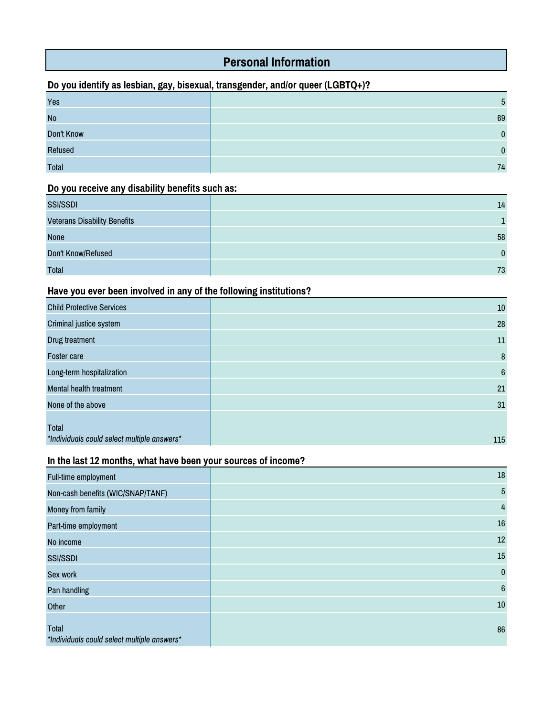# **Personal Information**

### **Do you identify as lesbian, gay, bisexual, transgender, and/or queer (LGBTQ+)?**

| Yes          |              |
|--------------|--------------|
| <b>No</b>    | 69           |
| Don't Know   | $\mathbf{0}$ |
| Refused      | $\Omega$     |
| <b>Total</b> | 74           |

### **Do you receive any disability benefits such as:**

| <b>SSI/SSDI</b>                     | 14       |
|-------------------------------------|----------|
| <b>Veterans Disability Benefits</b> |          |
| None                                | 58       |
| Don't Know/Refused                  | $\Omega$ |
| <b>Total</b>                        | 73       |

#### **Have you ever been involved in any of the following institutions?**

| <b>Child Protective Services</b>                     | 10              |
|------------------------------------------------------|-----------------|
| Criminal justice system                              | 28              |
| Drug treatment                                       | 11              |
| <b>Foster care</b>                                   | 8               |
| Long-term hospitalization                            | $6\phantom{1}6$ |
| <b>Mental health treatment</b>                       | 21              |
| None of the above                                    | 31              |
| Total<br>*Individuals could select multiple answers* | 115             |

### **In the last 12 months, what have been your sources of income?**

| Full-time employment                                 | $18\,$           |
|------------------------------------------------------|------------------|
| Non-cash benefits (WIC/SNAP/TANF)                    | 5                |
| Money from family                                    | $\overline{4}$   |
| Part-time employment                                 | $16\,$           |
| No income                                            | 12               |
| <b>SSI/SSDI</b>                                      | $15\,$           |
| Sex work                                             | $\pmb{0}$        |
| Pan handling                                         | $\boldsymbol{6}$ |
| Other                                                | $10\,$           |
| Total<br>*Individuals could select multiple answers* | 86               |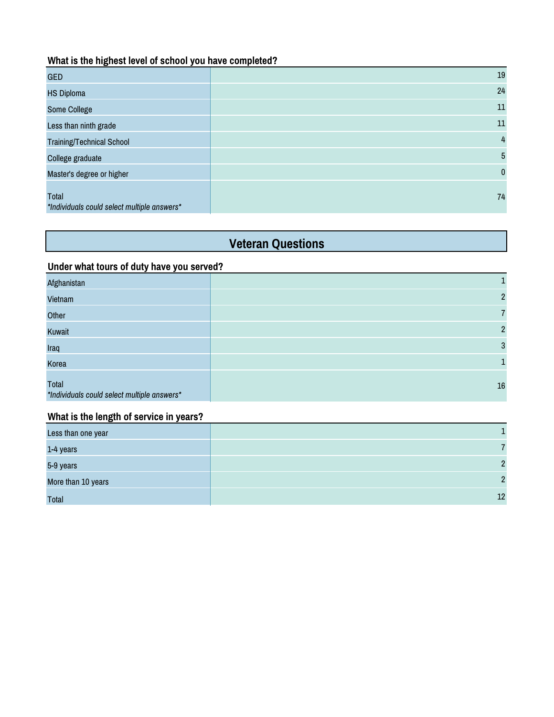#### **What is the highest level of school you have completed?**

| <b>GED</b>                                           | 19           |
|------------------------------------------------------|--------------|
| <b>HS Diploma</b>                                    | 24           |
| Some College                                         | $11\,$       |
| Less than ninth grade                                | 11           |
| <b>Training/Technical School</b>                     | 4            |
| College graduate                                     | 5            |
| Master's degree or higher                            | $\mathbf{0}$ |
| Total<br>*Individuals could select multiple answers* | 74           |

# **Veteran Questions**

#### **Under what tours of duty have you served?**

| Afghanistan                                          | 1              |
|------------------------------------------------------|----------------|
| Vietnam                                              | $\overline{2}$ |
| Other                                                | $\overline{7}$ |
| Kuwait                                               | $\overline{2}$ |
| Iraq                                                 | 3              |
| Korea                                                |                |
| Total<br>*Individuals could select multiple answers* | 16             |

#### **What is the length of service in years?**

| Less than one year |    |
|--------------------|----|
| 1-4 years          |    |
| 5-9 years          | C  |
| More than 10 years | C  |
| <b>Total</b>       | 12 |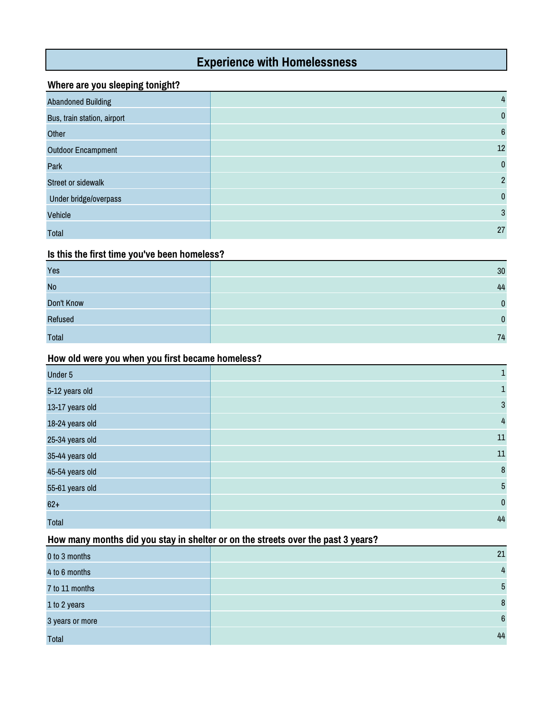## **Experience with Homelessness**

#### **Where are you sleeping tonight?**

| <b>Abandoned Building</b>   | 4               |
|-----------------------------|-----------------|
| Bus, train station, airport | $\mathbf{0}$    |
| Other                       | $6\phantom{1}6$ |
| <b>Outdoor Encampment</b>   | 12              |
| Park                        | $\mathbf{0}$    |
| <b>Street or sidewalk</b>   | $\overline{2}$  |
| Under bridge/overpass       | $\mathbf{0}$    |
| Vehicle                     | 3               |
| <b>Total</b>                | 27              |

#### **Is this the first time you've been homeless?**

| Yes          | 30       |
|--------------|----------|
| <b>No</b>    | 44       |
| Don't Know   | n        |
| Refused      | $\Omega$ |
| <b>Total</b> | 74       |

#### **How old were you when you first became homeless?**

| Under 5         | 1              |
|-----------------|----------------|
| 5-12 years old  | 1              |
| 13-17 years old | $\mathbf{3}$   |
| 18-24 years old | $\overline{4}$ |
| 25-34 years old | 11             |
| 35-44 years old | 11             |
| 45-54 years old | $\bf 8$        |
| 55-61 years old | 5              |
| $62+$           | $\pmb{0}$      |
| <b>Total</b>    | 44             |

#### **How many months did you stay in shelter or on the streets over the past 3 years?**

| 0 to 3 months   | 21             |
|-----------------|----------------|
| 4 to 6 months   | $\frac{4}{3}$  |
| 7 to 11 months  | 5              |
| 1 to 2 years    | 8              |
| 3 years or more | $6\phantom{1}$ |
| <b>Total</b>    | 44             |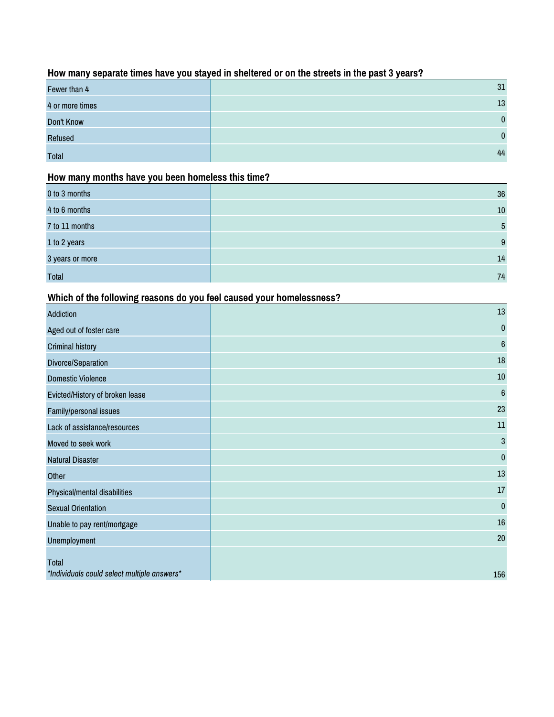### **How many separate times have you stayed in sheltered or on the streets in the past 3 years?**

| Fewer than 4    | 31           |
|-----------------|--------------|
| 4 or more times | 13           |
| Don't Know      | $\mathbf{0}$ |
| Refused         | $\mathbf{0}$ |
| <b>Total</b>    | 44           |

#### **How many months have you been homeless this time?**

| 0 to 3 months   | 36 |
|-----------------|----|
| 4 to 6 months   | 10 |
| 7 to 11 months  | 5  |
| 1 to 2 years    | 9  |
| 3 years or more | 14 |
| <b>Total</b>    | 74 |

### **Which of the following reasons do you feel caused your homelessness?**

| <b>Addiction</b>                                     | 13               |
|------------------------------------------------------|------------------|
| Aged out of foster care                              | 0                |
| <b>Criminal history</b>                              | $\boldsymbol{6}$ |
| Divorce/Separation                                   | 18               |
| <b>Domestic Violence</b>                             | 10               |
| Evicted/History of broken lease                      | $6\phantom{1}$   |
| Family/personal issues                               | 23               |
| Lack of assistance/resources                         | 11               |
| Moved to seek work                                   | $\mathbf 3$      |
| <b>Natural Disaster</b>                              | 0                |
| Other                                                | 13               |
| Physical/mental disabilities                         | 17               |
| <b>Sexual Orientation</b>                            | $\pmb{0}$        |
| Unable to pay rent/mortgage                          | 16               |
| Unemployment                                         | 20               |
| Total<br>*Individuals could select multiple answers* | 156              |
|                                                      |                  |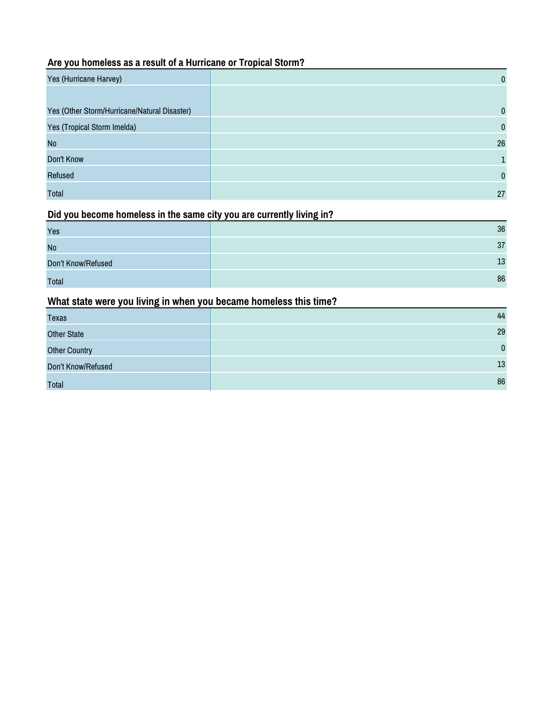### **Are you homeless as a result of a Hurricane or Tropical Storm?**

| Yes (Hurricane Harvey)                       | $\mathbf{0}$ |
|----------------------------------------------|--------------|
|                                              |              |
| Yes (Other Storm/Hurricane/Natural Disaster) | $\mathbf{0}$ |
| Yes (Tropical Storm Imelda)                  | $\mathbf{0}$ |
| <b>No</b>                                    | 26           |
| Don't Know                                   |              |
| Refused                                      | $\mathbf{0}$ |
| Total                                        | 27           |

#### **Did you become homeless in the same city you are currently living in?**

| Yes                | 36 |
|--------------------|----|
| <b>No</b>          | 37 |
| Don't Know/Refused | 13 |
| <b>Total</b>       | 86 |

### **What state were you living in when you became homeless this time?**

| <b>Texas</b>         | 44       |
|----------------------|----------|
| <b>Other State</b>   | 29       |
| <b>Other Country</b> | $\Omega$ |
| Don't Know/Refused   | 13       |
| <b>Total</b>         | 86       |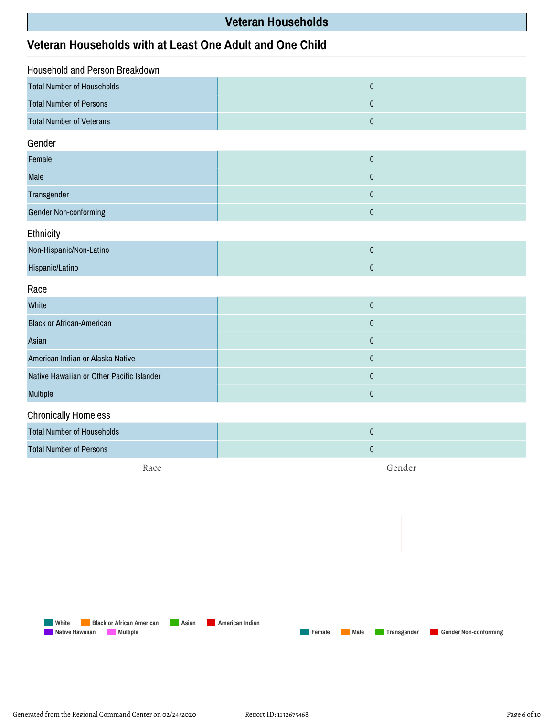## **Veteran Households**

## **Veteran Households with at Least One Adult and One Child**

| Household and Person Breakdown            |           |  |
|-------------------------------------------|-----------|--|
| <b>Total Number of Households</b>         | $\pmb{0}$ |  |
| <b>Total Number of Persons</b>            | $\pmb{0}$ |  |
| <b>Total Number of Veterans</b>           | $\pmb{0}$ |  |
| Gender                                    |           |  |
| Female                                    | $\pmb{0}$ |  |
| Male                                      | $\pmb{0}$ |  |
| Transgender                               | $\pmb{0}$ |  |
| Gender Non-conforming                     | $\pmb{0}$ |  |
| Ethnicity                                 |           |  |
| Non-Hispanic/Non-Latino                   | $\pmb{0}$ |  |
| Hispanic/Latino                           | $\pmb{0}$ |  |
| Race                                      |           |  |
| White                                     | $\pmb{0}$ |  |
| <b>Black or African-American</b>          | $\pmb{0}$ |  |
| Asian                                     | $\pmb{0}$ |  |
| American Indian or Alaska Native          | $\pmb{0}$ |  |
| Native Hawaiian or Other Pacific Islander | $\pmb{0}$ |  |
| Multiple                                  | $\pmb{0}$ |  |
| <b>Chronically Homeless</b>               |           |  |

| Total Number of Households |  |
|----------------------------|--|
| Total Number of Persons    |  |

Race

Gender

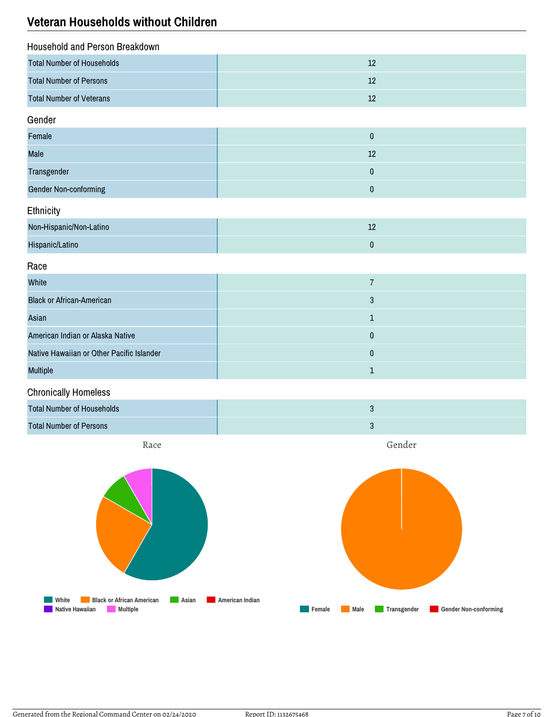## **Veteran Households without Children**

| Household and Person Breakdown    |    |
|-----------------------------------|----|
| <b>Total Number of Households</b> |    |
| <b>Total Number of Persons</b>    | 12 |
| <b>Total Number of Veterans</b>   |    |

#### Gender

| Female                       |  |
|------------------------------|--|
| Male                         |  |
| Transgender                  |  |
| <b>Gender Non-conforming</b> |  |

#### **Ethnicity**

| Non-Hispanic/Non-Latino | -- |
|-------------------------|----|
| Hispanic/Latino         |    |

#### Race

| White                                     |   |
|-------------------------------------------|---|
| <b>Black or African-American</b>          | 3 |
| Asian                                     |   |
| American Indian or Alaska Native          |   |
| Native Hawaiian or Other Pacific Islander |   |
| <b>Multiple</b>                           |   |

#### Chronically Homeless



Race

Gender

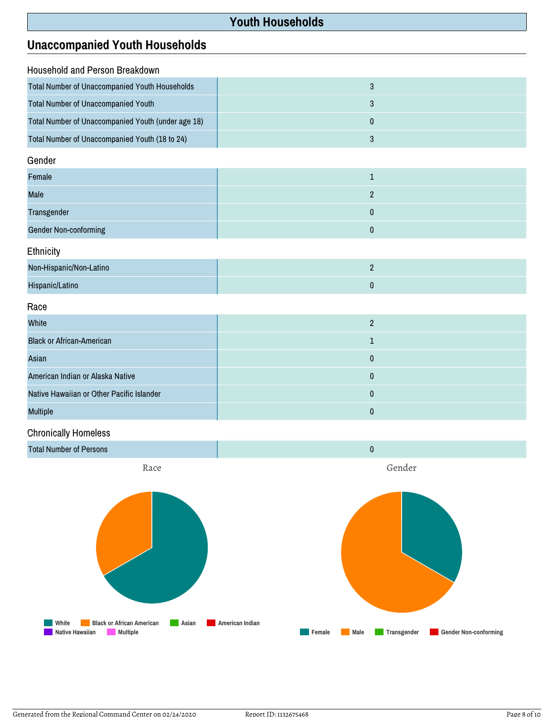## **Youth Households**

## **Unaccompanied Youth Households**

| Household and Person Breakdown                     |                |  |
|----------------------------------------------------|----------------|--|
| Total Number of Unaccompanied Youth Households     | 3              |  |
| <b>Total Number of Unaccompanied Youth</b>         | 3              |  |
| Total Number of Unaccompanied Youth (under age 18) | $\mathbf{0}$   |  |
| Total Number of Unaccompanied Youth (18 to 24)     | 3              |  |
| Gender                                             |                |  |
| Female                                             |                |  |
| <b>Male</b>                                        | $\overline{2}$ |  |
| Transgender                                        | $\Omega$       |  |

Gender Non-conforming and the context of the context of the context of the context of the context of the context of the context of the context of the context of the context of the context of the context of the context of t

Ethnicity

| Non-Hispanic/Non-Latino |  |
|-------------------------|--|
| Hispanic/Latino         |  |

Race

| White                                     |  |
|-------------------------------------------|--|
| <b>Black or African-American</b>          |  |
| Asian                                     |  |
| American Indian or Alaska Native          |  |
| Native Hawaiian or Other Pacific Islander |  |
| <b>Multiple</b>                           |  |

### Chronically Homeless



Generated from the Regional Command Center on 02/24/2020 Report ID: 1132675468 Page 8 of 10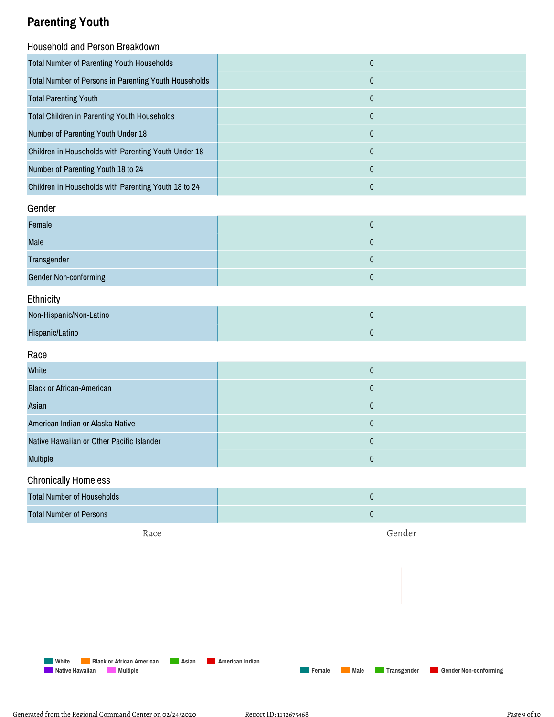# **Parenting Youth**

| Household and Person Breakdown                        |           |  |
|-------------------------------------------------------|-----------|--|
| <b>Total Number of Parenting Youth Households</b>     | $\pmb{0}$ |  |
| Total Number of Persons in Parenting Youth Households | $\pmb{0}$ |  |
| <b>Total Parenting Youth</b>                          | $\pmb{0}$ |  |
| <b>Total Children in Parenting Youth Households</b>   | $\pmb{0}$ |  |
| Number of Parenting Youth Under 18                    | 0         |  |
| Children in Households with Parenting Youth Under 18  | 0         |  |
| Number of Parenting Youth 18 to 24                    | 0         |  |
| Children in Households with Parenting Youth 18 to 24  | $\pmb{0}$ |  |
| Gender                                                |           |  |
| Female                                                | $\pmb{0}$ |  |
| Male                                                  | 0         |  |
| Transgender                                           | $\pmb{0}$ |  |
| <b>Gender Non-conforming</b>                          | $\pmb{0}$ |  |
| Ethnicity                                             |           |  |
| Non-Hispanic/Non-Latino                               | 0         |  |
| Hispanic/Latino                                       | $\pmb{0}$ |  |
| Race                                                  |           |  |
| White                                                 | 0         |  |
| <b>Black or African-American</b>                      | 0         |  |
| Asian                                                 | $\pmb{0}$ |  |
| American Indian or Alaska Native                      | 0         |  |
| Native Hawaiian or Other Pacific Islander             | $\pmb{0}$ |  |

#### Chronically Homeless

| <b>Total Number of Households</b> |                             |
|-----------------------------------|-----------------------------|
| <b>Total Number of Persons</b>    |                             |
| $\mathbf{D}$                      | $\sim$ $\sim$ $\sim$ $\sim$ |

Race

Gender

**Female Male Transgender Gender Non-conforming**

**White Black or African American Asian American Indian Native Hawaiian Multiple**

Multiple 0